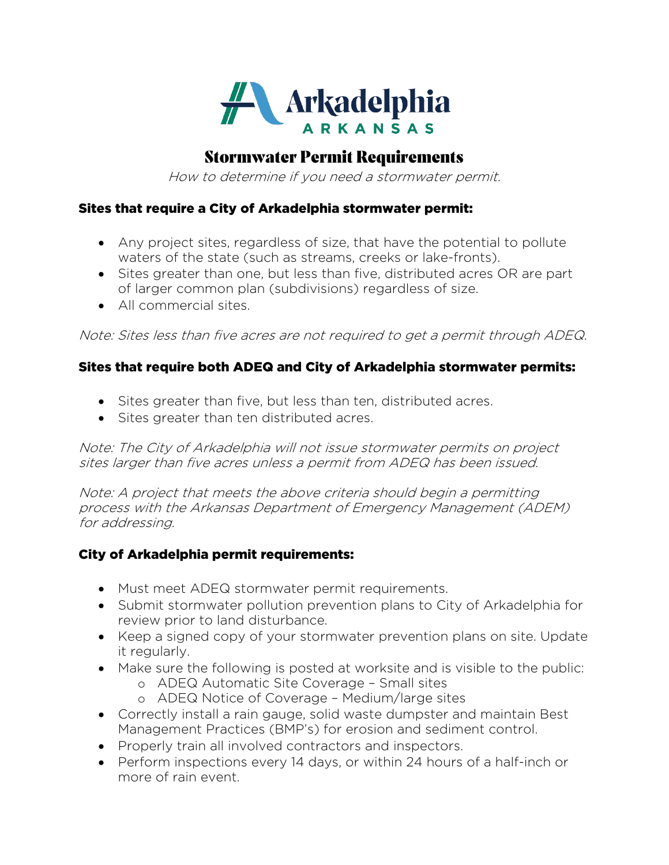

## Stormwater Permit Requirements

How to determine if you need a stormwater permit.

## Sites that require a City of Arkadelphia stormwater permit:

- Any project sites, regardless of size, that have the potential to pollute waters of the state (such as streams, creeks or lake-fronts).
- Sites greater than one, but less than five, distributed acres OR are part of larger common plan (subdivisions) regardless of size.
- All commercial sites.

Note: Sites less than five acres are not required to get a permit through ADEQ.

## Sites that require both ADEQ and City of Arkadelphia stormwater permits:

- Sites greater than five, but less than ten, distributed acres.
- Sites greater than ten distributed acres.

Note: The City of Arkadelphia will not issue stormwater permits on project sites larger than five acres unless a permit from ADEQ has been issued.

Note: A project that meets the above criteria should begin a permitting process with the Arkansas Department of Emergency Management (ADEM) for addressing.

## City of Arkadelphia permit requirements:

- Must meet ADEQ stormwater permit requirements.
- Submit stormwater pollution prevention plans to City of Arkadelphia for review prior to land disturbance.
- Keep a signed copy of your stormwater prevention plans on site. Update it regularly.
- Make sure the following is posted at worksite and is visible to the public:
	- o ADEQ Automatic Site Coverage Small sites
	- o ADEQ Notice of Coverage Medium/large sites
- Correctly install a rain gauge, solid waste dumpster and maintain Best Management Practices (BMP's) for erosion and sediment control.
- Properly train all involved contractors and inspectors.
- Perform inspections every 14 days, or within 24 hours of a half-inch or more of rain event.